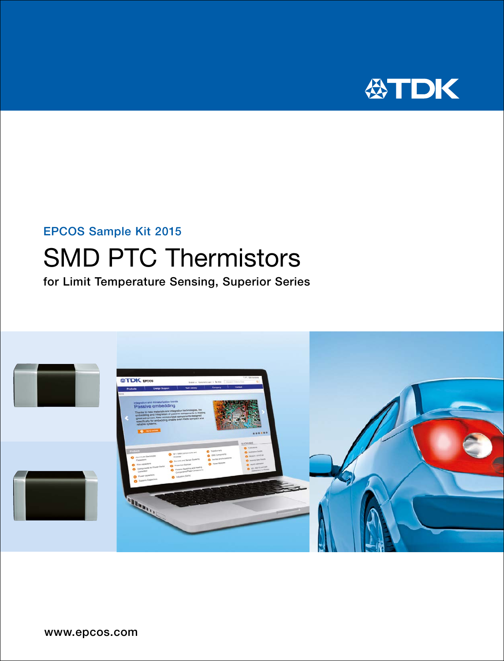

# EPCOS Sample Kit 2015

# SMD PTC Thermistors

for Limit Temperature Sensing, Superior Series

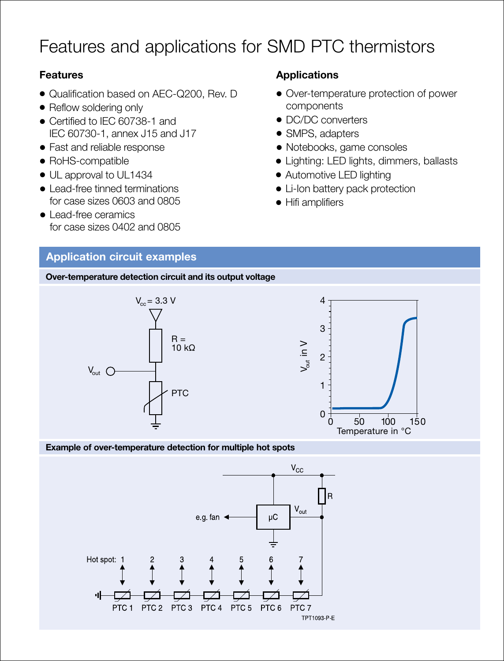# Features and applications for SMD PTC thermistors

### **Features**

- Qualification based on AEC-Q200, Rev. D
- Reflow soldering only
- Certified to IEC 60738-1 and IEC 60730-1, annex J15 and J17
- Fast and reliable response
- RoHS-compatible
- UL approval to UL1434
- Lead-free tinned terminations for case sizes 0603 and 0805
- Lead-free ceramics for case sizes 0402 and 0805

## **Applications**

- Over-temperature protection of power components
- DC/DC converters
- SMPS, adapters
- Notebooks, game consoles
- Lighting: LED lights, dimmers, ballasts
- Automotive LED lighting
- Li-Ion battery pack protection
- Hifi amplifiers

### **Application circuit examples**

**Over-temperature detection circuit and its output voltage**



### **Example of over-temperature detection for multiple hot spots**

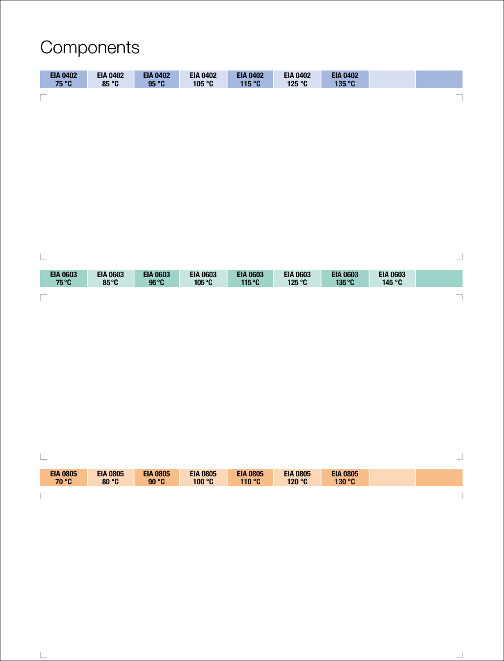# Components

| <b>EIA 0402</b><br>75 °C | <b>EIA 0402</b><br>85 °C | <b>EIA 0402</b><br>95 °C | <b>EIA 0402</b><br>105 °C | <b>EIA 0402</b><br>115 °C | <b>EIA 0402</b><br>125 °C | <b>EIA 0402</b><br>135 °C |  |
|--------------------------|--------------------------|--------------------------|---------------------------|---------------------------|---------------------------|---------------------------|--|
| $\sim$                   |                          |                          |                           |                           |                           |                           |  |



| <b>Service</b>           |                          |                          |                           |                           |                           |                           | $\sim$        |
|--------------------------|--------------------------|--------------------------|---------------------------|---------------------------|---------------------------|---------------------------|---------------|
| <b>EIA 0805</b><br>70 °C | <b>EIA 0805</b><br>80 °C | <b>EIA 0805</b><br>90 °C | <b>EIA 0805</b><br>100 °C | <b>EIA 0805</b><br>110 °C | <b>EIA 0805</b><br>120 °C | <b>EIA 0805</b><br>130 °C |               |
| <b>STATE</b>             |                          |                          |                           |                           |                           |                           | $\frac{1}{2}$ |

 $\mathbb T$ 

|  | í. |
|--|----|
|  |    |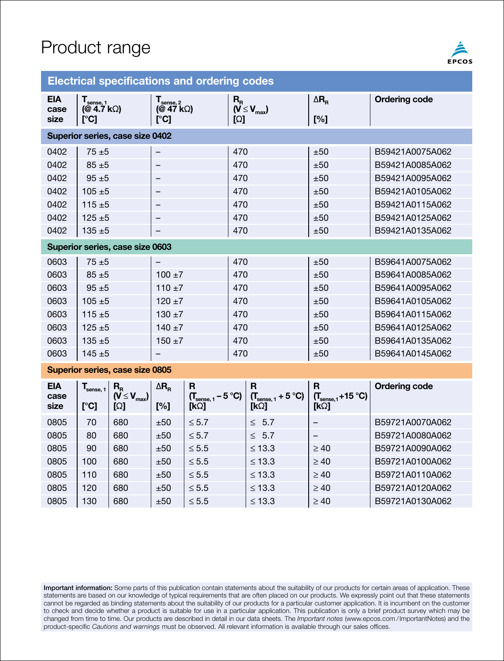# Product range



### **Electrical specifications and ordering codes**

| <b>EIA</b><br>case<br>size      | $T_{\text{sense}, 1}$<br>(@ 4.7 kΩ)<br>[°C] |                                             | $\mathsf{T}_{\mathsf{sense},\,2}$<br>(@ 47 $k\Omega$ )<br>$\Gamma$ <sup>o</sup> Cl |                                                                          |     | $(V \leq V_{\text{max}})$                                                    | $\Delta$ R <sub>R</sub><br>[%]                              | <b>Ordering code</b> |  |
|---------------------------------|---------------------------------------------|---------------------------------------------|------------------------------------------------------------------------------------|--------------------------------------------------------------------------|-----|------------------------------------------------------------------------------|-------------------------------------------------------------|----------------------|--|
| Superior series, case size 0402 |                                             |                                             |                                                                                    |                                                                          |     |                                                                              |                                                             |                      |  |
| 0402                            | $75 + 5$                                    |                                             | -                                                                                  |                                                                          | 470 |                                                                              | ±50                                                         | B59421A0075A062      |  |
| 0402                            | $85 + 5$                                    |                                             |                                                                                    |                                                                          | 470 |                                                                              | ±50                                                         | B59421A0085A062      |  |
| 0402                            | $95 + 5$                                    |                                             |                                                                                    |                                                                          | 470 |                                                                              | ±50                                                         | B59421A0095A062      |  |
| 0402                            | $105 + 5$                                   |                                             |                                                                                    |                                                                          | 470 |                                                                              | ±50                                                         | B59421A0105A062      |  |
| 0402                            | $115 + 5$                                   |                                             | -                                                                                  |                                                                          | 470 |                                                                              | ±50                                                         | B59421A0115A062      |  |
| 0402                            | $125 + 5$                                   |                                             |                                                                                    |                                                                          |     | 470                                                                          | ±50                                                         | B59421A0125A062      |  |
| 0402                            | $135 + 5$                                   |                                             |                                                                                    | 470                                                                      |     |                                                                              | ±50                                                         | B59421A0135A062      |  |
| Superior series, case size 0603 |                                             |                                             |                                                                                    |                                                                          |     |                                                                              |                                                             |                      |  |
| 0603                            | $75 + 5$                                    |                                             |                                                                                    | 470                                                                      |     |                                                                              | ±50                                                         | B59641A0075A062      |  |
| 0603                            | $85 + 5$                                    |                                             | $100 + 7$                                                                          |                                                                          | 470 |                                                                              | ±50                                                         | B59641A0085A062      |  |
| 0603                            | $95 + 5$                                    |                                             | $110 + 7$                                                                          |                                                                          | 470 |                                                                              | ±50                                                         | B59641A0095A062      |  |
| 0603                            | $105 + 5$                                   |                                             | $120 + 7$                                                                          |                                                                          | 470 |                                                                              | ±50                                                         | B59641A0105A062      |  |
| 0603                            | $115 + 5$                                   |                                             | $130 + 7$                                                                          |                                                                          | 470 |                                                                              | ±50                                                         | B59641A0115A062      |  |
| 0603                            | $125 + 5$                                   |                                             | $140 + 7$                                                                          |                                                                          |     | 470                                                                          | ±50                                                         | B59641A0125A062      |  |
| 0603                            | $135 + 5$                                   |                                             | $150 + 7$                                                                          | 470                                                                      |     |                                                                              | ±50                                                         | B59641A0135A062      |  |
| 0603                            | $145 + 5$                                   |                                             |                                                                                    |                                                                          | 470 |                                                                              | ±50                                                         | B59641A0145A062      |  |
| Superior series, case size 0805 |                                             |                                             |                                                                                    |                                                                          |     |                                                                              |                                                             |                      |  |
| <b>EIA</b><br>case<br>size      | $T_{\text{sense, 1}}$<br>[°C]               | $R_{R}$<br>$(V \leq V_{\text{max}})$<br>[Ω] | $\Delta$ R <sub>R</sub><br>[%]                                                     | R<br>$(T_{\text{sense}, 1} - 5 \text{ }^{\circ}\text{C})$<br>$[k\Omega]$ |     | $\mathbf{R}$<br>$(T_{\text{sense}, 1} + 5 \text{ }^{\circ}\text{C})$<br>[kΩ] | $\mathbf{R}$<br>$(T_{\text{sense},1}+15\text{ °C})$<br>[kΩ] | <b>Ordering code</b> |  |
| 0805                            | 70                                          | 680                                         | ±50                                                                                | $\leq 5.7$                                                               |     | $\leq 5.7$                                                                   | -                                                           | B59721A0070A062      |  |
| 0805                            | 80                                          | 680                                         | ±50                                                                                | $\leq 5.7$                                                               |     | $\leq 5.7$                                                                   | -                                                           | B59721A0080A062      |  |
| 0805                            | 90                                          | 680                                         | ±50                                                                                | $\leq 5.5$                                                               |     | $\leq 13.3$                                                                  | $\geq 40$                                                   | B59721A0090A062      |  |
| 0805                            | 100                                         | 680                                         | ±50                                                                                | $\leq 5.5$                                                               |     | $\leq 13.3$                                                                  | $\geq 40$                                                   | B59721A0100A062      |  |
| 0805                            | 110                                         | 680                                         | ±50                                                                                | $\leq 5.5$                                                               |     | $\leq 13.3$                                                                  | $\geq 40$                                                   | B59721A0110A062      |  |

Important information: Some parts of this publication contain statements about the suitability of our products for certain areas of application. These statements are based on our knowledge of typical requirements that are often placed on our products. We expressly point out that these statements cannot be regarded as binding statements about the suitability of our products for a particular customer application. It is incumbent on the customer to check and decide whether a product is suitable for use in a particular application. This publication is only a brief product survey which may be changed from time to time. Our products are described in detail in our data sheets. The *Important notes* (www.epcos.com /ImportantNotes) and the product-specific *Cautions and warnings* must be observed. All relevant information is available through our sales offices.

0805 120 680 ±50 ≤ 5.5 ≤ 13.3 ≥ 40 B59721A0120A062 0805 | 130 | 680 | ±50 | ≤ 5.5 | ≤ 13.3 | ≥ 40 | B59721A0130A062